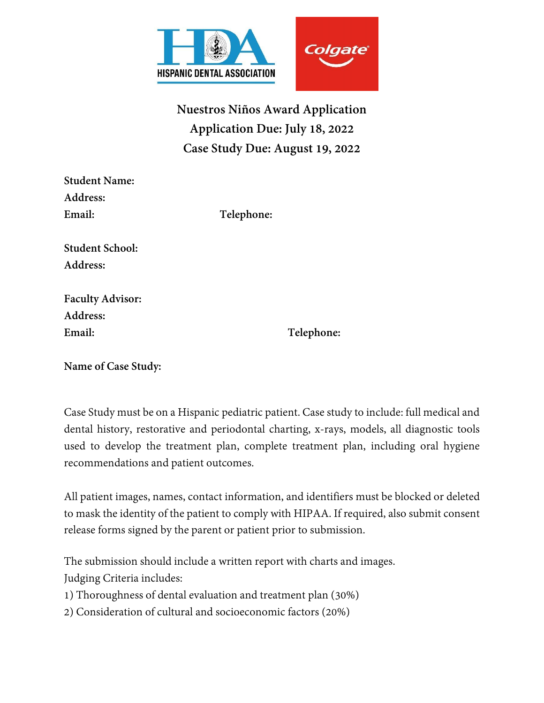

**Nuestros Niños Award Application Application Due: July 18, 2022 Case Study Due: August 19, 2022**

| <b>Student Name:</b>   |            |
|------------------------|------------|
| <b>Address:</b>        |            |
| Email:                 | Telephone: |
| <b>Student School:</b> |            |
| Address:               |            |

**Faculty Advisor: Address: Email: Telephone:**

**Name of Case Study:**

Case Study must be on a Hispanic pediatric patient. Case study to include: full medical and dental history, restorative and periodontal charting, x-rays, models, all diagnostic tools used to develop the treatment plan, complete treatment plan, including oral hygiene recommendations and patient outcomes.

All patient images, names, contact information, and identifiers must be blocked or deleted to mask the identity of the patient to comply with HIPAA. If required, also submit consent release forms signed by the parent or patient prior to submission.

The submission should include a written report with charts and images. Judging Criteria includes:

1) Thoroughness of dental evaluation and treatment plan (30%)

2) Consideration of cultural and socioeconomic factors (20%)